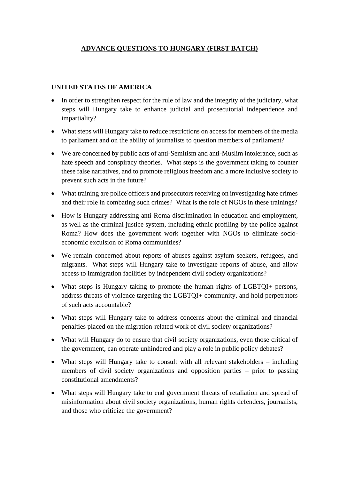## **ADVANCE QUESTIONS TO HUNGARY (FIRST BATCH)**

## **UNITED STATES OF AMERICA**

- In order to strengthen respect for the rule of law and the integrity of the judiciary, what steps will Hungary take to enhance judicial and prosecutorial independence and impartiality?
- What steps will Hungary take to reduce restrictions on access for members of the media to parliament and on the ability of journalists to question members of parliament?
- We are concerned by public acts of anti-Semitism and anti-Muslim intolerance, such as hate speech and conspiracy theories. What steps is the government taking to counter these false narratives, and to promote religious freedom and a more inclusive society to prevent such acts in the future?
- What training are police officers and prosecutors receiving on investigating hate crimes and their role in combating such crimes? What is the role of NGOs in these trainings?
- How is Hungary addressing anti-Roma discrimination in education and employment, as well as the criminal justice system, including ethnic profiling by the police against Roma? How does the government work together with NGOs to eliminate socioeconomic exculsion of Roma communities?
- We remain concerned about reports of abuses against asylum seekers, refugees, and migrants. What steps will Hungary take to investigate reports of abuse, and allow access to immigration facilities by independent civil society organizations?
- What steps is Hungary taking to promote the human rights of LGBTQI+ persons, address threats of violence targeting the LGBTQI+ community, and hold perpetrators of such acts accountable?
- What steps will Hungary take to address concerns about the criminal and financial penalties placed on the migration-related work of civil society organizations?
- What will Hungary do to ensure that civil society organizations, even those critical of the government, can operate unhindered and play a role in public policy debates?
- What steps will Hungary take to consult with all relevant stakeholders including members of civil society organizations and opposition parties – prior to passing constitutional amendments?
- What steps will Hungary take to end government threats of retaliation and spread of misinformation about civil society organizations, human rights defenders, journalists, and those who criticize the government?